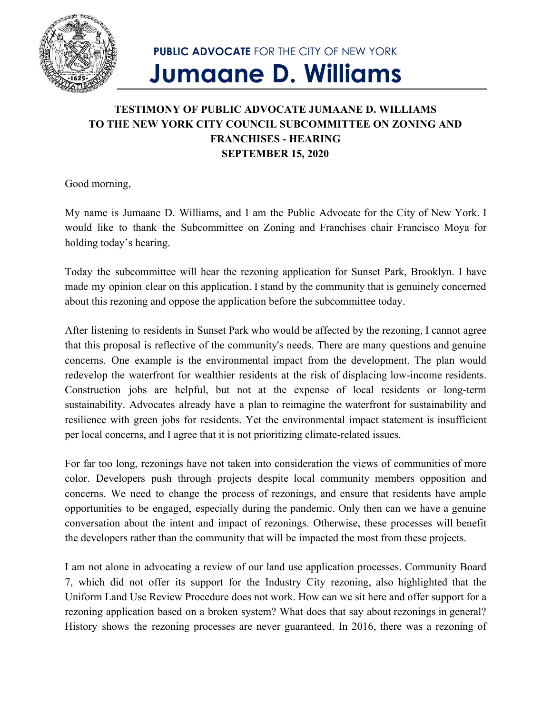

## **PUBLIC ADVOCATE** FOR THE CITY OF NEW YORK **Jumaane D. Williams**

## **TESTIMONY OF PUBLIC ADVOCATE JUMAANE D. WILLIAMS TO THE NEW YORK CITY COUNCIL SUBCOMMITTEE ON ZONING AND FRANCHISES - HEARING SEPTEMBER 15, 2020**

Good morning,

My name is Jumaane D. Williams, and I am the Public Advocate for the City of New York. I would like to thank the Subcommittee on Zoning and Franchises chair Francisco Moya for holding today's hearing.

Today the subcommittee will hear the rezoning application for Sunset Park, Brooklyn. I have made my opinion clear on this application. I stand by the community that is genuinely concerned about this rezoning and oppose the application before the subcommittee today.

After listening to residents in Sunset Park who would be affected by the rezoning, I cannot agree that this proposal is reflective of the community's needs. There are many questions and genuine concerns. One example is the environmental impact from the development. The plan would redevelop the waterfront for wealthier residents at the risk of displacing low-income residents. Construction jobs are helpful, but not at the expense of local residents or long-term sustainability. Advocates already have a plan to reimagine the waterfront for sustainability and resilience with green jobs for residents. Yet the environmental impact statement is insufficient per local concerns, and I agree that it is not prioritizing climate-related issues.

For far too long, rezonings have not taken into consideration the views of communities of more color. Developers push through projects despite local community members opposition and concerns. We need to change the process of rezonings, and ensure that residents have ample opportunities to be engaged, especially during the pandemic. Only then can we have a genuine conversation about the intent and impact of rezonings. Otherwise, these processes will benefit the developers rather than the community that will be impacted the most from these projects.

I am not alone in advocating a review of our land use application processes. Community Board 7, which did not offer its support for the Industry City rezoning, also highlighted that the Uniform Land Use Review Procedure does not work. How can we sit here and offer support for a rezoning application based on a broken system? What does that say about rezonings in general? History shows the rezoning processes are never guaranteed. In 2016, there was a rezoning of